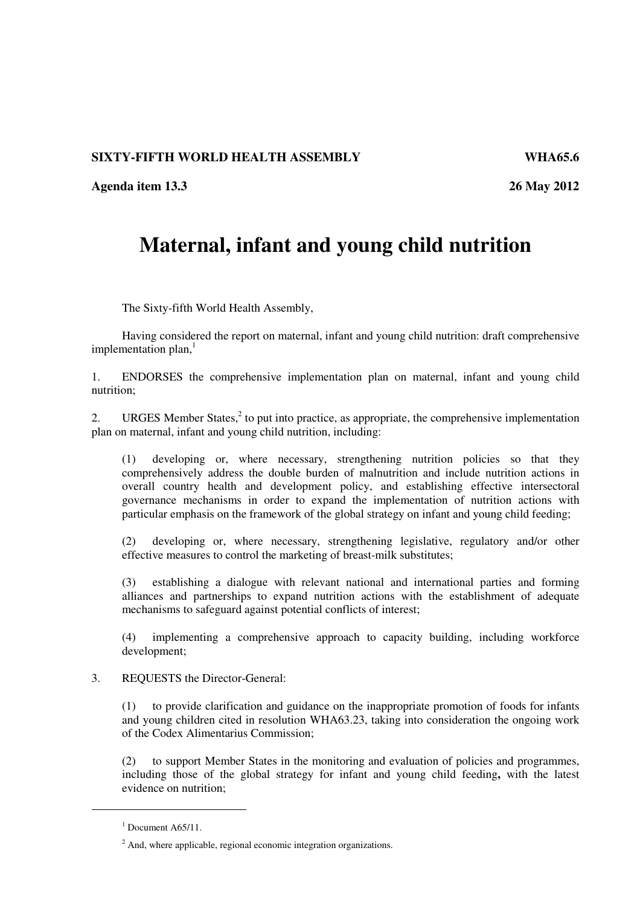## **SIXTY-FIFTH WORLD HEALTH ASSEMBLY WHA65.6**

**Agenda item 13.3 26 May 2012** 

## **Maternal, infant and young child nutrition**

The Sixty-fifth World Health Assembly,

Having considered the report on maternal, infant and young child nutrition: draft comprehensive implementation plan, $<sup>1</sup>$ </sup>

1. ENDORSES the comprehensive implementation plan on maternal, infant and young child nutrition;

2. URGES Member States, $2$  to put into practice, as appropriate, the comprehensive implementation plan on maternal, infant and young child nutrition, including:

(1) developing or, where necessary, strengthening nutrition policies so that they comprehensively address the double burden of malnutrition and include nutrition actions in overall country health and development policy, and establishing effective intersectoral governance mechanisms in order to expand the implementation of nutrition actions with particular emphasis on the framework of the global strategy on infant and young child feeding;

(2) developing or, where necessary, strengthening legislative, regulatory and/or other effective measures to control the marketing of breast-milk substitutes;

(3) establishing a dialogue with relevant national and international parties and forming alliances and partnerships to expand nutrition actions with the establishment of adequate mechanisms to safeguard against potential conflicts of interest;

(4) implementing a comprehensive approach to capacity building, including workforce development;

## 3. REQUESTS the Director-General:

(1) to provide clarification and guidance on the inappropriate promotion of foods for infants and young children cited in resolution WHA63.23, taking into consideration the ongoing work of the Codex Alimentarius Commission;

(2) to support Member States in the monitoring and evaluation of policies and programmes, including those of the global strategy for infant and young child feeding**,** with the latest evidence on nutrition;

-

 $<sup>1</sup>$  Document A65/11.</sup>

 $2$  And, where applicable, regional economic integration organizations.